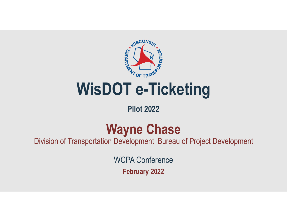

#### **Pilot 2022**

## **Wayne Chase**

Division of Transportation Development, Bureau of Project Development

WCPA Conference

**February 2022**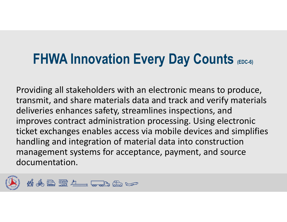### **FHWA Innovation Every Day Counts (EDC-6)**

Providing all stakeholders with an electronic means to produce, transmit, and share materials data and track and verify materials deliveries enhances safety, streamlines inspections, and improves contract administration processing. Using electronic ticket exchanges enables access via mobile devices and simplifies handling and integration of material data into construction management systems for acceptance, payment, and source documentation.

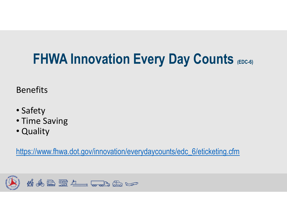# **FHWA Innovation Every Day Counts (EDC-6)**

Benefits

- Safety
- Time Saving
- Quality

https://www.fhwa.dot.gov/innovation/everydaycounts/edc\_6/eticketing.cfm

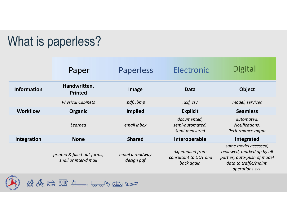#### What is paperless?

|                    | Paper                                                | Paperless                     | Electronic                                              | <b>Digital</b>                                                                                                                 |
|--------------------|------------------------------------------------------|-------------------------------|---------------------------------------------------------|--------------------------------------------------------------------------------------------------------------------------------|
| <b>Information</b> | Handwritten,<br><b>Printed</b>                       | Image                         | Data                                                    | <b>Object</b>                                                                                                                  |
|                    | <b>Physical Cabinets</b>                             | .pdf, .bmp                    | $dxf$ , $csv$                                           | model, services                                                                                                                |
| <b>Workflow</b>    | <b>Organic</b>                                       | <b>Implied</b>                | <b>Explicit</b>                                         | <b>Seamless</b>                                                                                                                |
|                    | Learned                                              | email inbox                   | documented,<br>semi-automated,<br>Semi-measured         | automated,<br>Notifications,<br>Performance mgmt                                                                               |
| Integration        | <b>None</b>                                          | <b>Shared</b>                 | Interoperable                                           | Integrated                                                                                                                     |
|                    | printed & filled-out forms,<br>snail or inter-d mail | email a roadway<br>design pdf | dxf emailed from<br>consultant to DOT and<br>back again | same model accessed,<br>reviewed, marked up by all<br>parties, auto-push of model<br>data to traffic/maint.<br>operations sys. |

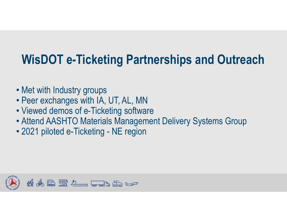#### **WisDOT e-Ticketing Partnerships and Outreach**

- Met with Industry groups
- Peer exchanges with IA, UT, AL, MN
- Viewed demos of e-Ticketing software
- Attend AASHTO Materials Management Delivery Systems Group
- 2021 piloted e-Ticketing NE region

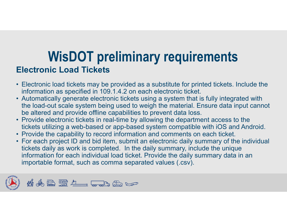#### **WisDOT preliminary requirements Electronic Load Tickets**

- Electronic load tickets may be provided as a substitute for printed tickets. Include the information as specified in 109.1.4.2 on each electronic ticket.
- Automatically generate electronic tickets using a system that is fully integrated with the load-out scale system being used to weigh the material. Ensure data input cannot be altered and provide offline capabilities to prevent data loss.
- Provide electronic tickets in real-time by allowing the department access to the tickets utilizing a web-based or app-based system compatible with iOS and Android.
- Provide the capability to record information and comments on each ticket.
- For each project ID and bid item, submit an electronic daily summary of the individual tickets daily as work is completed. In the daily summary, include the unique information for each individual load ticket. Provide the daily summary data in an importable format, such as comma separated values (.csv).

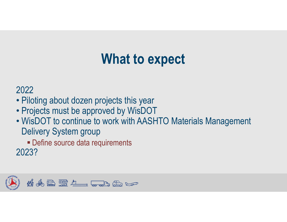## **What to expect**

#### 2022

- Piloting about dozen projects this year
- Projects must be approved by WisDOT
- WisDOT to continue to work with AASHTO Materials Management Delivery System group
- **Define source data requirements** 2023?